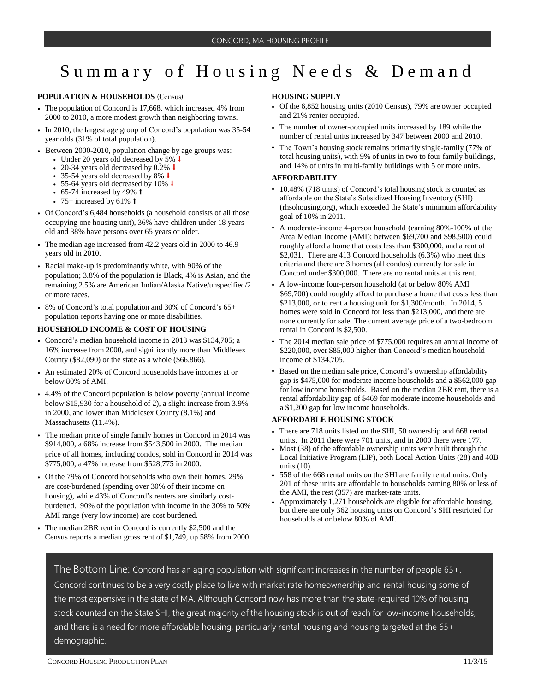# Summary of Housing Needs & Demand

### **POPULATION & HOUSEHOLDS** (Census)

- The population of Concord is 17,668, which increased 4% from 2000 to 2010, a more modest growth than neighboring towns.
- In 2010, the largest age group of Concord's population was 35-54 year olds (31% of total population).
- Between 2000-2010, population change by age groups was:
	- Under 20 years old decreased by 5%  $\downarrow$
	- 20-34 years old decreased by 0.2% ↓
	- 35-54 years old decreased by 8% ⬇
	- 55-64 years old decreased by 10% ⬇
	- $\cdot$  65-74 increased by 49%  $\dagger$
	- 75+ increased by 61%  $\dagger$
- Of Concord's 6,484 households (a household consists of all those occupying one housing unit), 36% have children under 18 years old and 38% have persons over 65 years or older.
- The median age increased from 42.2 years old in 2000 to 46.9 years old in 2010.
- Racial make-up is predominantly white, with 90% of the population; 3.8% of the population is Black, 4% is Asian, and the remaining 2.5% are American Indian/Alaska Native/unspecified/2 or more races.
- 8% of Concord's total population and 30% of Concord's 65+ population reports having one or more disabilities.

#### **HOUSEHOLD INCOME & COST OF HOUSING**

- Concord's median household income in 2013 was \$134,705; a 16% increase from 2000, and significantly more than Middlesex County (\$82,090) or the state as a whole (\$66,866).
- An estimated 20% of Concord households have incomes at or below 80% of AMI.
- 4.4% of the Concord population is below poverty (annual income below \$15,930 for a household of 2), a slight increase from 3.9% in 2000, and lower than Middlesex County (8.1%) and Massachusetts (11.4%).
- The median price of single family homes in Concord in 2014 was \$914,000, a 68% increase from \$543,500 in 2000. The median price of all homes, including condos, sold in Concord in 2014 was \$775,000, a 47% increase from \$528,775 in 2000.
- Of the 79% of Concord households who own their homes, 29% are cost-burdened (spending over 30% of their income on housing), while 43% of Concord's renters are similarly costburdened. 90% of the population with income in the 30% to 50% AMI range (very low income) are cost burdened.
- The median 2BR rent in Concord is currently \$2,500 and the Census reports a median gross rent of \$1,749, up 58% from 2000.

### **HOUSING SUPPLY**

- Of the 6,852 housing units (2010 Census), 79% are owner occupied and 21% renter occupied.
- The number of owner-occupied units increased by 189 while the number of rental units increased by 347 between 2000 and 2010.
- The Town's housing stock remains primarily single-family (77% of total housing units), with 9% of units in two to four family buildings, and 14% of units in multi-family buildings with 5 or more units.

## **AFFORDABILITY**

- 10.48% (718 units) of Concord's total housing stock is counted as affordable on the State's Subsidized Housing Inventory (SHI) (rhsohousing.org), which exceeded the State's minimum affordability goal of 10% in 2011.
- A moderate-income 4-person household (earning 80%-100% of the Area Median Income (AMI); between \$69,700 and \$98,500) could roughly afford a home that costs less than \$300,000, and a rent of \$2,031. There are 413 Concord households (6.3%) who meet this criteria and there are 3 homes (all condos) currently for sale in Concord under \$300,000. There are no rental units at this rent.
- A low-income four-person household (at or below 80% AMI \$69,700) could roughly afford to purchase a home that costs less than \$213,000, or to rent a housing unit for \$1,300/month. In 2014, 5 homes were sold in Concord for less than \$213,000, and there are none currently for sale. The current average price of a two-bedroom rental in Concord is \$2,500.
- The 2014 median sale price of \$775,000 requires an annual income of \$220,000, over \$85,000 higher than Concord's median household income of \$134,705.
- Based on the median sale price, Concord's ownership affordability gap is \$475,000 for moderate income households and a \$562,000 gap for low income households. Based on the median 2BR rent, there is a rental affordability gap of \$469 for moderate income households and a \$1,200 gap for low income households.

#### **AFFORDABLE HOUSING STOCK**

- There are 718 units listed on the SHI, 50 ownership and 668 rental units. In 2011 there were 701 units, and in 2000 there were 177.
- Most (38) of the affordable ownership units were built through the Local Initiative Program (LIP), both Local Action Units (28) and 40B units (10).
- 558 of the 668 rental units on the SHI are family rental units. Only 201 of these units are affordable to households earning 80% or less of the AMI, the rest (357) are market-rate units.
- Approximately 1,271 households are eligible for affordable housing, but there are only 362 housing units on Concord's SHI restricted for households at or below 80% of AMI.

The Bottom Line: Concord has an aging population with significant increases in the number of people 65+. Concord continues to be a very costly place to live with market rate homeownership and rental housing some of the most expensive in the state of MA. Although Concord now has more than the state-required 10% of housing stock counted on the State SHI, the great majority of the housing stock is out of reach for low-income households, and there is a need for more affordable housing, particularly rental housing and housing targeted at the 65+ demographic.